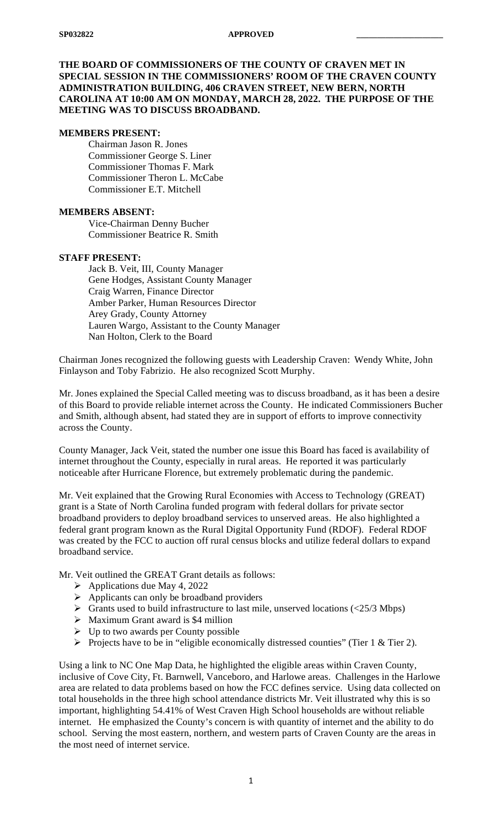## **THE BOARD OF COMMISSIONERS OF THE COUNTY OF CRAVEN MET IN SPECIAL SESSION IN THE COMMISSIONERS' ROOM OF THE CRAVEN COUNTY ADMINISTRATION BUILDING, 406 CRAVEN STREET, NEW BERN, NORTH CAROLINA AT 10:00 AM ON MONDAY, MARCH 28, 2022. THE PURPOSE OF THE MEETING WAS TO DISCUSS BROADBAND.**

#### **MEMBERS PRESENT:**

Chairman Jason R. Jones Commissioner George S. Liner Commissioner Thomas F. Mark Commissioner Theron L. McCabe Commissioner E.T. Mitchell

#### **MEMBERS ABSENT:**

Vice-Chairman Denny Bucher Commissioner Beatrice R. Smith

### **STAFF PRESENT:**

Jack B. Veit, III, County Manager Gene Hodges, Assistant County Manager Craig Warren, Finance Director Amber Parker, Human Resources Director Arey Grady, County Attorney Lauren Wargo, Assistant to the County Manager Nan Holton, Clerk to the Board

Chairman Jones recognized the following guests with Leadership Craven: Wendy White, John Finlayson and Toby Fabrizio. He also recognized Scott Murphy.

Mr. Jones explained the Special Called meeting was to discuss broadband, as it has been a desire of this Board to provide reliable internet across the County. He indicated Commissioners Bucher and Smith, although absent, had stated they are in support of efforts to improve connectivity across the County.

County Manager, Jack Veit, stated the number one issue this Board has faced is availability of internet throughout the County, especially in rural areas. He reported it was particularly noticeable after Hurricane Florence, but extremely problematic during the pandemic.

Mr. Veit explained that the Growing Rural Economies with Access to Technology (GREAT) grant is a State of North Carolina funded program with federal dollars for private sector broadband providers to deploy broadband services to unserved areas. He also highlighted a federal grant program known as the Rural Digital Opportunity Fund (RDOF). Federal RDOF was created by the FCC to auction off rural census blocks and utilize federal dollars to expand broadband service.

Mr. Veit outlined the GREAT Grant details as follows:

- $\blacktriangleright$  Applications due May 4, 2022
- $\triangleright$  Applicants can only be broadband providers
- $\triangleright$  Grants used to build infrastructure to last mile, unserved locations (<25/3 Mbps)
- $\triangleright$  Maximum Grant award is \$4 million
- $\triangleright$  Up to two awards per County possible
- Projects have to be in "eligible economically distressed counties" (Tier  $1 \&$  Tier 2).

Using a link to NC One Map Data, he highlighted the eligible areas within Craven County, inclusive of Cove City, Ft. Barnwell, Vanceboro, and Harlowe areas. Challenges in the Harlowe area are related to data problems based on how the FCC defines service. Using data collected on total households in the three high school attendance districts Mr. Veit illustrated why this is so important, highlighting 54.41% of West Craven High School households are without reliable internet. He emphasized the County's concern is with quantity of internet and the ability to do school. Serving the most eastern, northern, and western parts of Craven County are the areas in the most need of internet service.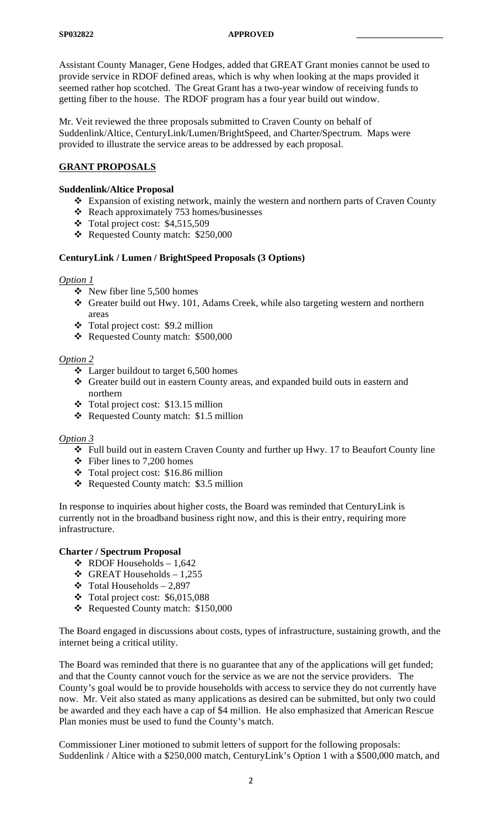Assistant County Manager, Gene Hodges, added that GREAT Grant monies cannot be used to provide service in RDOF defined areas, which is why when looking at the maps provided it seemed rather hop scotched. The Great Grant has a two-year window of receiving funds to getting fiber to the house. The RDOF program has a four year build out window.

Mr. Veit reviewed the three proposals submitted to Craven County on behalf of Suddenlink/Altice, CenturyLink/Lumen/BrightSpeed, and Charter/Spectrum. Maps were provided to illustrate the service areas to be addressed by each proposal.

# **GRANT PROPOSALS**

## **Suddenlink/Altice Proposal**

- Expansion of existing network, mainly the western and northern parts of Craven County
- Reach approximately 753 homes/businesses
- $\div$  Total project cost: \$4,515,509
- Requested County match: \$250,000

## **CenturyLink / Lumen / BrightSpeed Proposals (3 Options)**

## *Option 1*

- $\div$  New fiber line 5,500 homes
- Greater build out Hwy. 101, Adams Creek, while also targeting western and northern areas
- Total project cost: \$9.2 million
- \* Requested County match: \$500,000

## *Option 2*

- $\div$  Larger buildout to target 6,500 homes
- Greater build out in eastern County areas, and expanded build outs in eastern and northern
- Total project cost: \$13.15 million
- Requested County match: \$1.5 million

## *Option 3*

- Full build out in eastern Craven County and further up Hwy. 17 to Beaufort County line
- $\div$  Fiber lines to 7,200 homes
- Total project cost: \$16.86 million
- \* Requested County match: \$3.5 million

In response to inquiries about higher costs, the Board was reminded that CenturyLink is currently not in the broadband business right now, and this is their entry, requiring more infrastructure.

## **Charter / Spectrum Proposal**

- $\div$  RDOF Households 1,642
- $\div$  GREAT Households 1,255
- $\div$  Total Households 2,897
- $\div$  Total project cost: \$6,015,088
- Requested County match: \$150,000

The Board engaged in discussions about costs, types of infrastructure, sustaining growth, and the internet being a critical utility.

The Board was reminded that there is no guarantee that any of the applications will get funded; and that the County cannot vouch for the service as we are not the service providers. The County's goal would be to provide households with access to service they do not currently have now. Mr. Veit also stated as many applications as desired can be submitted, but only two could be awarded and they each have a cap of \$4 million. He also emphasized that American Rescue Plan monies must be used to fund the County's match.

Commissioner Liner motioned to submit letters of support for the following proposals: Suddenlink / Altice with a \$250,000 match, CenturyLink's Option 1 with a \$500,000 match, and